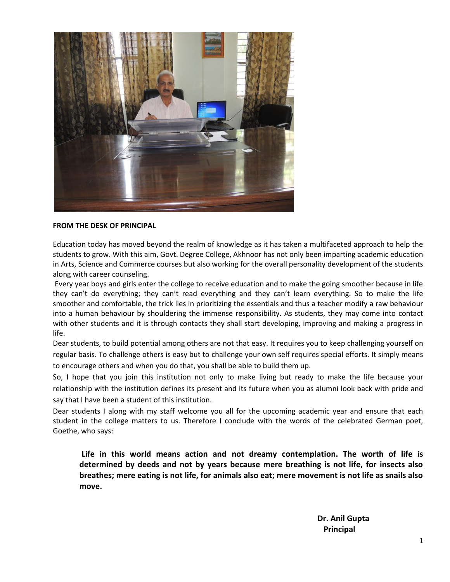

#### **FROM THE DESK OF PRINCIPAL**

Education today has moved beyond the realm of knowledge as it has taken a multifaceted approach to help the students to grow. With this aim, Govt. Degree College, Akhnoor has not only been imparting academic education in Arts, Science and Commerce courses but also working for the overall personality development of the students along with career counseling.

 Every year boys and girls enter the college to receive education and to make the going smoother because in life they can't do everything; they can't read everything and they can't learn everything. So to make the life smoother and comfortable, the trick lies in prioritizing the essentials and thus a teacher modify a raw behaviour into a human behaviour by shouldering the immense responsibility. As students, they may come into contact with other students and it is through contacts they shall start developing, improving and making a progress in life.

Dear students, to build potential among others are not that easy. It requires you to keep challenging yourself on regular basis. To challenge others is easy but to challenge your own self requires special efforts. It simply means to encourage others and when you do that, you shall be able to build them up.

So, I hope that you join this institution not only to make living but ready to make the life because your relationship with the institution defines its present and its future when you as alumni look back with pride and say that I have been a student of this institution.

Dear students I along with my staff welcome you all for the upcoming academic year and ensure that each student in the college matters to us. Therefore I conclude with the words of the celebrated German poet, Goethe, who says:

**Life in this world means action and not dreamy contemplation. The worth of life is determined by deeds and not by years because mere breathing is not life, for insects also breathes; mere eating is not life, for animals also eat; mere movement is not life as snails also move.** 

 **Dr. Anil Gupta Principal**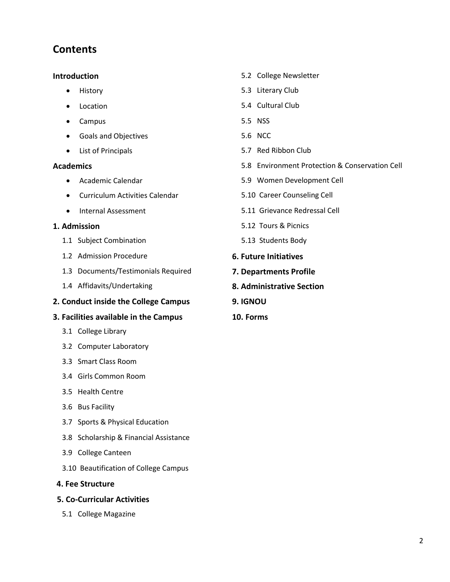## **Contents**

- 
- 
- Campus 5.5 NSS
- Goals and Objectives 6.6 Second 1.5.6 NCC
- 

- 
- Curriculum Activities Calendar 5.10 Career Counseling Cell
- 

- 1.1 Subject Combination 5.13 Students Body
- 1.2 Admission Procedure **6. Future Initiatives**
- 1.3 Documents/Testimonials Required **7. Departments Profile**
- 1.4 Affidavits/Undertaking **8. Administrative Section**

## **2. Conduct inside the College Campus 9. IGNOU**

## **3. Facilities available in the Campus 10. Forms**

- 3.1 College Library
- 3.2 Computer Laboratory
- 3.3 Smart Class Room
- 3.4 Girls Common Room
- 3.5 Health Centre
- 3.6 Bus Facility
- 3.7 Sports & Physical Education
- 3.8 Scholarship & Financial Assistance
- 3.9 College Canteen
- 3.10 Beautification of College Campus

## **4. Fee Structure**

## **5. Co-Curricular Activities**

5.1 College Magazine

- **Introduction** 5.2 College Newsletter
	- History 6.3 Literary Club
	- Location 5.4 Cultural Club
		-
		-
	- List of Principals 5.7 Red Ribbon Club
- **Academics** 5.8 Environment Protection & Conservation Cell
	- Academic Calendar 5.9 Women Development Cell
		-
	- Internal Assessment 1996 120 and 5.11 Grievance Redressal Cell
- **1. Admission** 5.12 Tours & Picnics
	-
	-
	-
	-
	-
	-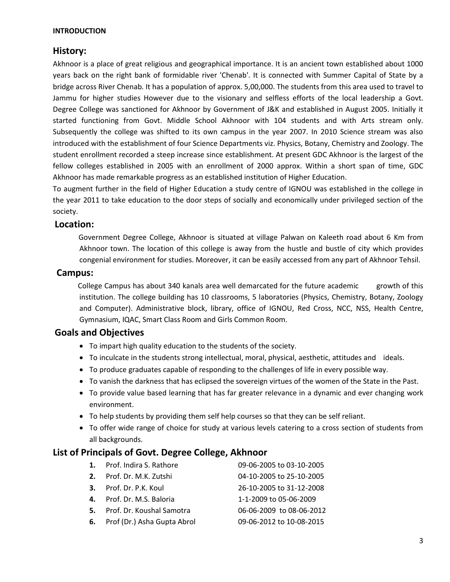#### **INTRODUCTION**

## **History:**

Akhnoor is a place of great religious and geographical importance. It is an ancient town established about 1000 years back on the right bank of formidable river 'Chenab'. It is connected with Summer Capital of State by a bridge across River Chenab. It has a population of approx. 5,00,000. The students from this area used to travel to Jammu for higher studies However due to the visionary and selfless efforts of the local leadership a Govt. Degree College was sanctioned for Akhnoor by Government of J&K and established in August 2005. Initially it started functioning from Govt. Middle School Akhnoor with 104 students and with Arts stream only. Subsequently the college was shifted to its own campus in the year 2007. In 2010 Science stream was also introduced with the establishment of four Science Departments viz. Physics, Botany, Chemistry and Zoology. The student enrollment recorded a steep increase since establishment. At present GDC Akhnoor is the largest of the fellow colleges established in 2005 with an enrollment of 2000 approx. Within a short span of time, GDC Akhnoor has made remarkable progress as an established institution of Higher Education.

To augment further in the field of Higher Education a study centre of IGNOU was established in the college in the year 2011 to take education to the door steps of socially and economically under privileged section of the society.

## **Location:**

 Government Degree College, Akhnoor is situated at village Palwan on Kaleeth road about 6 Km from Akhnoor town. The location of this college is away from the hustle and bustle of city which provides congenial environment for studies. Moreover, it can be easily accessed from any part of Akhnoor Tehsil.

## **Campus:**

College Campus has about 340 kanals area well demarcated for the future academic growth of this institution. The college building has 10 classrooms, 5 laboratories (Physics, Chemistry, Botany, Zoology and Computer). Administrative block, library, office of IGNOU, Red Cross, NCC, NSS, Health Centre, Gymnasium, IQAC, Smart Class Room and Girls Common Room.

## **Goals and Objectives**

- To impart high quality education to the students of the society.
- To inculcate in the students strong intellectual, moral, physical, aesthetic, attitudes and ideals.
- To produce graduates capable of responding to the challenges of life in every possible way.
- To vanish the darkness that has eclipsed the sovereign virtues of the women of the State in the Past.
- To provide value based learning that has far greater relevance in a dynamic and ever changing work environment.
- To help students by providing them self help courses so that they can be self reliant.
- To offer wide range of choice for study at various levels catering to a cross section of students from all backgrounds.

## **List of Principals of Govt. Degree College, Akhnoor**

| 1. Prof. Indira S. Rathore     | 09-06-2005 to 03-10-2005 |
|--------------------------------|--------------------------|
| 2. Prof. Dr. M.K. Zutshi       | 04-10-2005 to 25-10-2005 |
| 3. Prof. Dr. P.K. Koul         | 26-10-2005 to 31-12-2008 |
| 4. Prof. Dr. M.S. Baloria      | 1-1-2009 to 05-06-2009   |
| 5. Prof. Dr. Koushal Samotra   | 06-06-2009 to 08-06-2012 |
| 6. Prof (Dr.) Asha Gupta Abrol | 09-06-2012 to 10-08-2015 |
|                                |                          |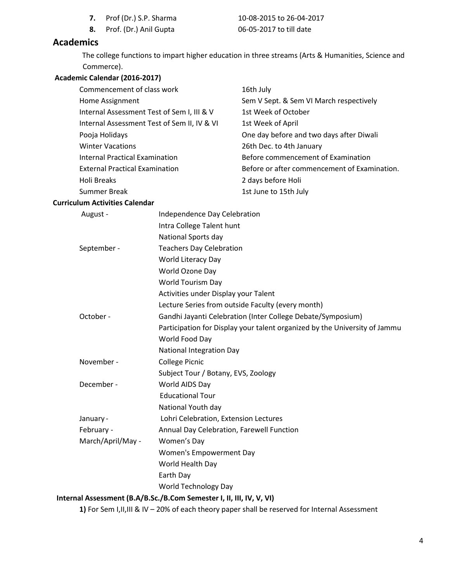- **7.** Prof (Dr.) S.P. Sharma 10-08-2015 to 26-04-2017
- **8.** Prof. (Dr.) Anil Gupta 06-05-2017 to till date

## **Academics**

 The college functions to impart higher education in three streams (Arts & Humanities, Science and Commerce).

## **Academic Calendar (2016-2017)**

| Commencement of class work                  | 16th July                                    |
|---------------------------------------------|----------------------------------------------|
| Home Assignment                             | Sem V Sept. & Sem VI March respectively      |
| Internal Assessment Test of Sem I, III & V  | 1st Week of October                          |
| Internal Assessment Test of Sem II, IV & VI | 1st Week of April                            |
| Pooja Holidays                              | One day before and two days after Diwali     |
| <b>Winter Vacations</b>                     | 26th Dec. to 4th January                     |
| Internal Practical Examination              | Before commencement of Examination           |
| <b>External Practical Examination</b>       | Before or after commencement of Examination. |
| Holi Breaks                                 | 2 days before Holi                           |
| <b>Summer Break</b>                         | 1st June to 15th July                        |

#### **Curriculum Activities Calendar**

| August -          | Independence Day Celebration                                               |
|-------------------|----------------------------------------------------------------------------|
|                   | Intra College Talent hunt                                                  |
|                   | National Sports day                                                        |
| September -       | <b>Teachers Day Celebration</b>                                            |
|                   | World Literacy Day                                                         |
|                   | World Ozone Day                                                            |
|                   | <b>World Tourism Day</b>                                                   |
|                   | Activities under Display your Talent                                       |
|                   | Lecture Series from outside Faculty (every month)                          |
| October -         | Gandhi Jayanti Celebration (Inter College Debate/Symposium)                |
|                   | Participation for Display your talent organized by the University of Jammu |
|                   | World Food Day                                                             |
|                   | <b>National Integration Day</b>                                            |
| November -        | <b>College Picnic</b>                                                      |
|                   | Subject Tour / Botany, EVS, Zoology                                        |
| December -        | World AIDS Day                                                             |
|                   | <b>Educational Tour</b>                                                    |
|                   | National Youth day                                                         |
| January -         | Lohri Celebration, Extension Lectures                                      |
| February -        | Annual Day Celebration, Farewell Function                                  |
| March/April/May - | Women's Day                                                                |
|                   | Women's Empowerment Day                                                    |
|                   | World Health Day                                                           |
|                   | Earth Day                                                                  |
|                   | <b>World Technology Day</b>                                                |
|                   | Internal Assessment (B.A/B.Sc./B.Com Semester I, II, III, IV, V, VI)       |

**1)** For Sem I,II,III & IV – 20% of each theory paper shall be reserved for Internal Assessment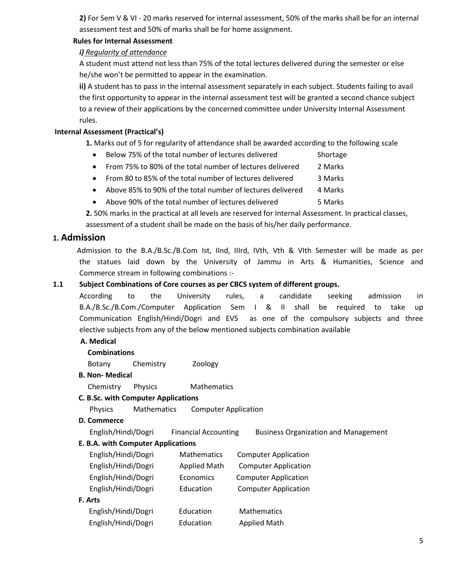**2)** For Sem V & VI - 20 marks reserved for internal assessment, 50% of the marks shall be for an internal assessment test and 50% of marks shall be for home assignment.

## **Rules for Internal Assessment**

## *i) Regularity of attendance*

A student must attend not less than 75% of the total lectures delivered during the semester or else he/she won't be permitted to appear in the examination.

**ii)** A student has to pass in the internal assessment separately in each subject. Students failing to avail the first opportunity to appear in the internal assessment test will be granted a second chance subject to a review of their applications by the concerned committee under University Internal Assessment rules.

## **Internal Assessment (Practical's)**

 **1.** Marks out of 5 for regularity of attendance shall be awarded according to the following scale

- Below 75% of the total number of lectures delivered Shortage
- From 75% to 80% of the total number of lectures delivered 2 Marks
- From 80 to 85% of the total number of lectures delivered 3 Marks
- Above 85% to 90% of the total number of lectures delivered 4 Marks
- Above 90% of the total number of lectures delivered 5 Marks

 **2.** 50% marks in the practical at all levels are reserved for Internal Assessment. In practical classes, assessment of a student shall be made on the basis of his/her daily performance.

## **1. Admission**

 Admission to the B.A./B.Sc./B.Com Ist, IInd, IIIrd, IVth, Vth & VIth Semester will be made as per the statues laid down by the University of Jammu in Arts & Humanities, Science and Commerce stream in following combinations :-

## **1.1 Subject Combinations of Core courses as per CBCS system of different groups.**

According to the University rules, a candidate seeking admission in B.A./B.Sc./B.Com./Computer Application Sem I & II shall be required to take up Communication English/Hindi/Dogri and EVS as one of the compulsory subjects and three elective subjects from any of the below mentioned subjects combination available

## **A. Medical**

## **Combinations**

Botany Chemistry Zoology

## **B. Non- Medical**

**Chemistry Physics Mathematics** 

## **C. B.Sc. with Computer Applications**

Physics Mathematics Computer Application

## **D. Commerce**

English/Hindi/Dogri Financial Accounting Business Organization and Management

## **E. B.A. with Computer Applications**

| English/Hindi/Dogri | Mathematics         | <b>Computer Application</b> |
|---------------------|---------------------|-----------------------------|
| English/Hindi/Dogri | <b>Applied Math</b> | <b>Computer Application</b> |
| English/Hindi/Dogri | Economics           | <b>Computer Application</b> |
| English/Hindi/Dogri | Education           | <b>Computer Application</b> |
| F. Arts             |                     |                             |
| English/Hindi/Dogri | Education           | <b>Mathematics</b>          |
| English/Hindi/Dogri | Education           | <b>Applied Math</b>         |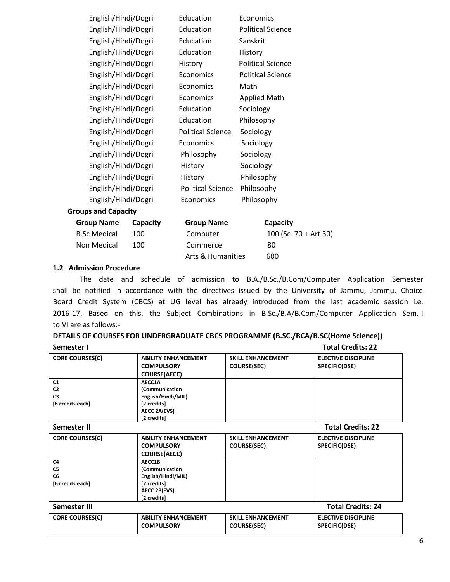|                     | English/Hindi/Dogri        |          | Education                    | Economics           |                          |  |
|---------------------|----------------------------|----------|------------------------------|---------------------|--------------------------|--|
|                     | English/Hindi/Dogri        |          | Education                    |                     | <b>Political Science</b> |  |
|                     | English/Hindi/Dogri        |          | Education                    | Sanskrit            |                          |  |
|                     | English/Hindi/Dogri        |          | Education                    | History             |                          |  |
|                     | English/Hindi/Dogri        |          | History                      |                     | <b>Political Science</b> |  |
|                     | English/Hindi/Dogri        |          | Economics                    |                     | <b>Political Science</b> |  |
|                     | English/Hindi/Dogri        |          | Economics                    | Math                |                          |  |
|                     | English/Hindi/Dogri        |          | Economics                    | <b>Applied Math</b> |                          |  |
|                     | English/Hindi/Dogri        |          | Education                    | Sociology           |                          |  |
|                     | English/Hindi/Dogri        |          | Education                    | Philosophy          |                          |  |
|                     | English/Hindi/Dogri        |          | <b>Political Science</b>     | Sociology           |                          |  |
|                     | English/Hindi/Dogri        |          | Economics                    | Sociology           |                          |  |
| English/Hindi/Dogri |                            |          | Philosophy                   | Sociology           |                          |  |
|                     | English/Hindi/Dogri        |          | History                      | Sociology           |                          |  |
|                     | English/Hindi/Dogri        |          | History                      | Philosophy          |                          |  |
|                     | English/Hindi/Dogri        |          | <b>Political Science</b>     | Philosophy          |                          |  |
|                     | English/Hindi/Dogri        |          | Economics                    | Philosophy          |                          |  |
|                     | <b>Groups and Capacity</b> |          |                              |                     |                          |  |
|                     | <b>Group Name</b>          | Capacity | <b>Group Name</b>            |                     | Capacity                 |  |
|                     | <b>B.Sc Medical</b>        | 100      | Computer                     |                     | 100 (Sc. 70 + Art 30)    |  |
|                     | Non Medical                | 100      | Commerce                     |                     | 80                       |  |
|                     |                            |          | <b>Arts &amp; Humanities</b> |                     | 600                      |  |
|                     |                            |          |                              |                     |                          |  |

#### **1.2 Admission Procedure**

 The date and schedule of admission to B.A./B.Sc./B.Com/Computer Application Semester shall be notified in accordance with the directives issued by the University of Jammu, Jammu. Choice Board Credit System (CBCS) at UG level has already introduced from the last academic session i.e. 2016-17. Based on this, the Subject Combinations in B.Sc./B.A/B.Com/Computer Application Sem.-I to VI are as follows:-

## **DETAILS OF COURSES FOR UNDERGRADUATE CBCS PROGRAMME (B.SC./BCA/B.SC(Home Science))**

| Semester I                                                             |                                                                                              |                                                | <b>Total Credits: 22</b>                    |
|------------------------------------------------------------------------|----------------------------------------------------------------------------------------------|------------------------------------------------|---------------------------------------------|
| <b>CORE COURSES(C)</b>                                                 | <b>ABILITY ENHANCEMENT</b><br><b>COMPULSORY</b><br><b>COURSE(AECC)</b>                       | <b>SKILL ENHANCEMENT</b><br><b>COURSE(SEC)</b> | <b>ELECTIVE DISCIPLINE</b><br>SPECIFIC(DSE) |
| C1<br>C <sub>2</sub>                                                   | AECC1A<br>(Communication                                                                     |                                                |                                             |
| C <sub>3</sub><br>[6 credits each]                                     | English/Hindi/MIL)<br>[2 credits]<br>AECC 2A(EVS)<br>[2 credits]                             |                                                |                                             |
| Semester II                                                            |                                                                                              |                                                | <b>Total Credits: 22</b>                    |
| <b>CORE COURSES(C)</b>                                                 | <b>ABILITY ENHANCEMENT</b><br><b>COMPULSORY</b><br><b>COURSE(AECC)</b>                       | <b>SKILL ENHANCEMENT</b><br><b>COURSE(SEC)</b> | <b>ELECTIVE DISCIPLINE</b><br>SPECIFIC(DSE) |
| C <sub>4</sub><br>C <sub>5</sub><br>C <sub>6</sub><br>[6 credits each] | AECC1B<br>(Communication<br>English/Hindi/MIL)<br>[2 credits]<br>AECC 2B(EVS)<br>[2 credits] |                                                |                                             |
| Semester III                                                           |                                                                                              |                                                | <b>Total Credits: 24</b>                    |
| <b>CORE COURSES(C)</b>                                                 | <b>ABILITY ENHANCEMENT</b><br><b>COMPULSORY</b>                                              | <b>SKILL ENHANCEMENT</b><br><b>COURSE(SEC)</b> | <b>ELECTIVE DISCIPLINE</b><br>SPECIFIC(DSE) |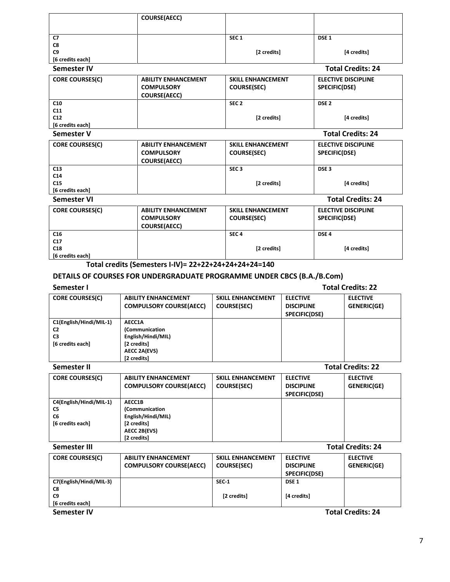|                    | <b>COURSE(AECC)</b> |                  |                          |
|--------------------|---------------------|------------------|--------------------------|
|                    |                     |                  |                          |
| C7                 |                     | SEC <sub>1</sub> | DSE <sub>1</sub>         |
| C8                 |                     |                  |                          |
| C9                 |                     | [2 credits]      | [4 credits]              |
| [6 credits each]   |                     |                  |                          |
| <b>Semester IV</b> |                     |                  | <b>Total Credits: 24</b> |

| <b>CORE COURSES(C)</b> | <b>ABILITY ENHANCEMENT</b><br><b>COMPULSORY</b><br><b>COURSE(AECC)</b> | <b>SKILL ENHANCEMENT</b><br><b>COURSE(SEC)</b> | <b>ELECTIVE DISCIPLINE</b><br>SPECIFIC(DSE) |
|------------------------|------------------------------------------------------------------------|------------------------------------------------|---------------------------------------------|
| C <sub>10</sub>        |                                                                        | SEC <sub>2</sub>                               | DSE <sub>2</sub>                            |
| C <sub>11</sub>        |                                                                        |                                                |                                             |
| C12                    |                                                                        | [2 credits]                                    | [4 credits]                                 |
| [6 credits each]       |                                                                        |                                                |                                             |

#### **Semester V Total Credits: 24**

| <b>CORE COURSES(C)</b> | <b>ABILITY ENHANCEMENT</b><br><b>COMPULSORY</b> | <b>SKILL ENHANCEMENT</b><br><b>COURSE(SEC)</b> | <b>ELECTIVE DISCIPLINE</b><br>SPECIFIC(DSE) |
|------------------------|-------------------------------------------------|------------------------------------------------|---------------------------------------------|
|                        | <b>COURSE(AECC)</b>                             |                                                |                                             |
| C13                    |                                                 | SEC <sub>3</sub>                               | DSE <sub>3</sub>                            |
| C <sub>14</sub>        |                                                 |                                                |                                             |
| C15                    |                                                 | [2 credits]                                    | [4 credits]                                 |
| [6 credits each]       |                                                 |                                                |                                             |
| Semester VI            |                                                 |                                                | <b>Total Credits: 24</b>                    |
| <b>CORE COURSES(C)</b> | <b>ABILITY ENHANCEMENT</b>                      | <b>SKILL ENHANCEMENT</b>                       | <b>ELECTIVE DISCIPLINE</b>                  |
|                        | <b>COMPULSORY</b>                               | <b>COURSE(SEC)</b>                             | SPECIFIC(DSE)                               |
|                        | <b>COURSE(AECC)</b>                             |                                                |                                             |
| C16                    |                                                 | SEC <sub>4</sub>                               | DSE <sub>4</sub>                            |
| C <sub>17</sub>        |                                                 |                                                |                                             |
| C18                    |                                                 | [2 credits]                                    | [4 credits]                                 |
| [6 credits each]       |                                                 |                                                |                                             |

## **Total credits (Semesters I-IV)= 22+22+24+24+24+24=140**

## **DETAILS OF COURSES FOR UNDERGRADUATE PROGRAMME UNDER CBCS (B.A./B.Com)**

**Semester I Total Credits: 22** 

| <b>CORE COURSES(C)</b>  | <b>ABILITY ENHANCEMENT</b>     | <b>SKILL ENHANCEMENT</b> | <b>ELECTIVE</b>   | <b>ELECTIVE</b> |
|-------------------------|--------------------------------|--------------------------|-------------------|-----------------|
|                         | <b>COMPULSORY COURSE(AECC)</b> | <b>COURSE(SEC)</b>       | <b>DISCIPLINE</b> | GENERIC(GE)     |
|                         |                                |                          | SPECIFIC(DSE)     |                 |
| C1(English/Hindi/MIL-1) | AECC1A                         |                          |                   |                 |
| C <sub>2</sub>          | (Communication                 |                          |                   |                 |
| C <sub>3</sub>          | English/Hindi/MIL)             |                          |                   |                 |
| [6 credits each]        | [2 credits]                    |                          |                   |                 |
|                         | <b>AECC 2A(EVS)</b>            |                          |                   |                 |
|                         | [2 credits]                    |                          |                   |                 |

| Semester II                                                         |                                                                                              |                                                |                                                       | <b>Total Credits: 22</b>       |  |  |
|---------------------------------------------------------------------|----------------------------------------------------------------------------------------------|------------------------------------------------|-------------------------------------------------------|--------------------------------|--|--|
| <b>CORE COURSES(C)</b>                                              | <b>ABILITY ENHANCEMENT</b><br><b>COMPULSORY COURSE(AECC)</b>                                 | <b>SKILL ENHANCEMENT</b><br><b>COURSE(SEC)</b> | <b>ELECTIVE</b><br><b>DISCIPLINE</b><br>SPECIFIC(DSE) | <b>ELECTIVE</b><br>GENERIC(GE) |  |  |
| C4(English/Hindi/MIL-1)<br>C5<br>C <sub>6</sub><br>[6 credits each] | AECC1B<br>(Communication<br>English/Hindi/MIL)<br>[2 credits]<br>AECC 2B(EVS)<br>[2 credits] |                                                |                                                       |                                |  |  |
| Semester III                                                        |                                                                                              |                                                | <b>Total Credits: 24</b>                              |                                |  |  |

| <b>CORE COURSES(C)</b>  | <b>ABILITY ENHANCEMENT</b>     | <b>SKILL ENHANCEMENT</b> | <b>ELECTIVE</b>   | <b>ELECTIVE</b>          |
|-------------------------|--------------------------------|--------------------------|-------------------|--------------------------|
|                         | <b>COMPULSORY COURSE(AECC)</b> | <b>COURSE(SEC)</b>       | <b>DISCIPLINE</b> | GENERIC(GE)              |
|                         |                                |                          | SPECIFIC(DSE)     |                          |
| C7(English/Hindi/MIL-3) |                                | SEC-1                    | DSE <sub>1</sub>  |                          |
| C8                      |                                |                          |                   |                          |
| C <sub>9</sub>          |                                | [2 credits]              | [4 credits]       |                          |
| [6 credits each]        |                                |                          |                   |                          |
| <b>Semester IV</b>      |                                |                          |                   | <b>Total Credits: 24</b> |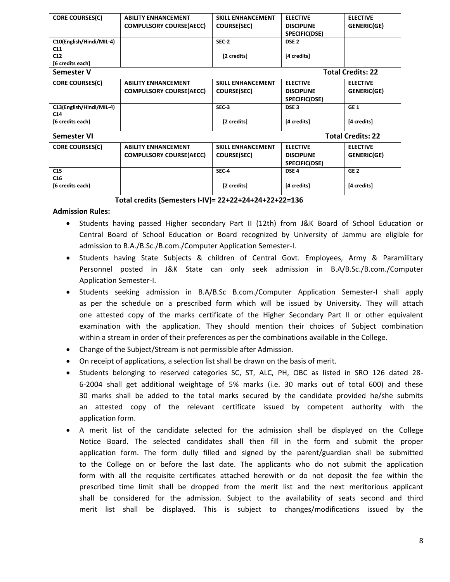| <b>CORE COURSES(C)</b>   | <b>ABILITY ENHANCEMENT</b>     | <b>SKILL ENHANCEMENT</b> | <b>ELECTIVE</b>   | <b>ELECTIVE</b>          |
|--------------------------|--------------------------------|--------------------------|-------------------|--------------------------|
|                          | <b>COMPULSORY COURSE(AECC)</b> | COURSE(SEC)              | <b>DISCIPLINE</b> | GENERIC(GE)              |
|                          |                                |                          | SPECIFIC(DSE)     |                          |
| C10(English/Hindi/MIL-4) |                                | SEC-2                    | DSE <sub>2</sub>  |                          |
| C11                      |                                |                          |                   |                          |
| C12                      |                                | [2 credits]              | [4 credits]       |                          |
| [6 credits each]         |                                |                          |                   |                          |
| Semester V               |                                |                          |                   | <b>Total Credits: 22</b> |
| <b>CORE COURSES(C)</b>   | <b>ABILITY ENHANCEMENT</b>     | <b>SKILL ENHANCEMENT</b> | <b>ELECTIVE</b>   | <b>ELECTIVE</b>          |
|                          | <b>COMPULSORY COURSE(AECC)</b> | <b>COURSE(SEC)</b>       | <b>DISCIPLINE</b> | GENERIC(GE)              |
|                          |                                |                          | SPECIFIC(DSE)     |                          |
| C13(English/Hindi/MIL-4) |                                | SEC <sub>3</sub>         | DSE <sub>3</sub>  | GE <sub>1</sub>          |
| C <sub>14</sub>          |                                |                          |                   |                          |
| [6 credits each)         |                                | [2 credits]              | [4 credits]       | [4 credits]              |
|                          |                                |                          |                   |                          |
| Semester VI              |                                |                          |                   | <b>Total Credits: 22</b> |
| <b>CORE COURSES(C)</b>   | <b>ABILITY ENHANCEMENT</b>     | <b>SKILL ENHANCEMENT</b> | <b>ELECTIVE</b>   | <b>ELECTIVE</b>          |
|                          | <b>COMPULSORY COURSE(AECC)</b> | <b>COURSE(SEC)</b>       | <b>DISCIPLINE</b> | <b>GENERIC(GE)</b>       |
|                          |                                |                          | SPECIFIC(DSE)     |                          |
| C15                      |                                | SEC <sub>4</sub>         | DSE <sub>4</sub>  | GE <sub>2</sub>          |
| C <sub>16</sub>          |                                |                          |                   |                          |
| [6 credits each)         |                                | [2 credits]              | [4 credits]       | [4 credits]              |
|                          |                                |                          |                   |                          |

#### **Total credits (Semesters I-IV)= 22+22+24+24+22+22=136**

#### **Admission Rules:**

- Students having passed Higher secondary Part II (12th) from J&K Board of School Education or Central Board of School Education or Board recognized by University of Jammu are eligible for admission to B.A./B.Sc./B.com./Computer Application Semester-I.
- Students having State Subjects & children of Central Govt. Employees, Army & Paramilitary Personnel posted in J&K State can only seek admission in B.A/B.Sc./B.com./Computer Application Semester-I.
- Students seeking admission in B.A/B.Sc B.com./Computer Application Semester-I shall apply as per the schedule on a prescribed form which will be issued by University. They will attach one attested copy of the marks certificate of the Higher Secondary Part II or other equivalent examination with the application. They should mention their choices of Subject combination within a stream in order of their preferences as per the combinations available in the College.
- Change of the Subject/Stream is not permissible after Admission.
- On receipt of applications, a selection list shall be drawn on the basis of merit.
- Students belonging to reserved categories SC, ST, ALC, PH, OBC as listed in SRO 126 dated 28- 6-2004 shall get additional weightage of 5% marks (i.e. 30 marks out of total 600) and these 30 marks shall be added to the total marks secured by the candidate provided he/she submits an attested copy of the relevant certificate issued by competent authority with the application form.
- A merit list of the candidate selected for the admission shall be displayed on the College Notice Board. The selected candidates shall then fill in the form and submit the proper application form. The form dully filled and signed by the parent/guardian shall be submitted to the College on or before the last date. The applicants who do not submit the application form with all the requisite certificates attached herewith or do not deposit the fee within the prescribed time limit shall be dropped from the merit list and the next meritorious applicant shall be considered for the admission. Subject to the availability of seats second and third merit list shall be displayed. This is subject to changes/modifications issued by the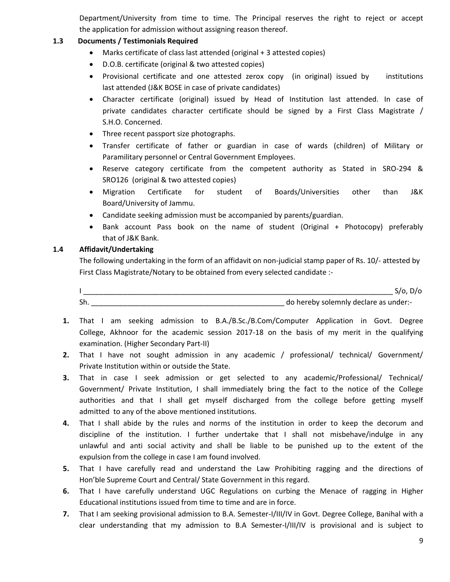Department/University from time to time. The Principal reserves the right to reject or accept the application for admission without assigning reason thereof.

## **1.3 Documents / Testimonials Required**

- Marks certificate of class last attended (original + 3 attested copies)
- D.O.B. certificate (original & two attested copies)
- Provisional certificate and one attested zerox copy (in original) issued by institutions last attended (J&K BOSE in case of private candidates)
- Character certificate (original) issued by Head of Institution last attended. In case of private candidates character certificate should be signed by a First Class Magistrate / S.H.O. Concerned.
- Three recent passport size photographs.
- Transfer certificate of father or guardian in case of wards (children) of Military or Paramilitary personnel or Central Government Employees.
- Reserve category certificate from the competent authority as Stated in SRO-294 & SRO126 (original & two attested copies)
- Migration Certificate for student of Boards/Universities other than J&K Board/University of Jammu.
- Candidate seeking admission must be accompanied by parents/guardian.
- Bank account Pass book on the name of student (Original + Photocopy) preferably that of J&K Bank.

### **1.4 Affidavit/Undertaking**

The following undertaking in the form of an affidavit on non-judicial stamp paper of Rs. 10/- attested by First Class Magistrate/Notary to be obtained from every selected candidate :-

I \_\_\_\_\_\_\_\_\_\_\_\_\_\_\_\_\_\_\_\_\_\_\_\_\_\_\_\_\_\_\_\_\_\_\_\_\_\_\_\_\_\_\_\_\_\_\_\_\_\_\_\_\_\_\_\_\_\_\_\_\_\_\_\_\_\_\_\_\_\_\_\_\_\_\_\_\_ S/o, D/o Sh. <u>Sh. East of the set of the set of the set of the set of the set of the set of the set of the set of the set of the set of the set of the set of the set of the set of the set of the set of the set of the set of the set</u>

- **1.** That I am seeking admission to B.A./B.Sc./B.Com/Computer Application in Govt. Degree College, Akhnoor for the academic session 2017-18 on the basis of my merit in the qualifying examination. (Higher Secondary Part-II)
- **2.** That I have not sought admission in any academic / professional/ technical/ Government/ Private Institution within or outside the State.
- **3.** That in case I seek admission or get selected to any academic/Professional/ Technical/ Government/ Private Institution, I shall immediately bring the fact to the notice of the College authorities and that I shall get myself discharged from the college before getting myself admitted to any of the above mentioned institutions.
- **4.** That I shall abide by the rules and norms of the institution in order to keep the decorum and discipline of the institution. I further undertake that I shall not misbehave/indulge in any unlawful and anti social activity and shall be liable to be punished up to the extent of the expulsion from the college in case I am found involved.
- **5.** That I have carefully read and understand the Law Prohibiting ragging and the directions of Hon'ble Supreme Court and Central/ State Government in this regard.
- **6.** That I have carefully understand UGC Regulations on curbing the Menace of ragging in Higher Educational institutions issued from time to time and are in force.
- **7.** That I am seeking provisional admission to B.A. Semester-I/III/IV in Govt. Degree College, Banihal with a clear understanding that my admission to B.A Semester-I/III/IV is provisional and is subject to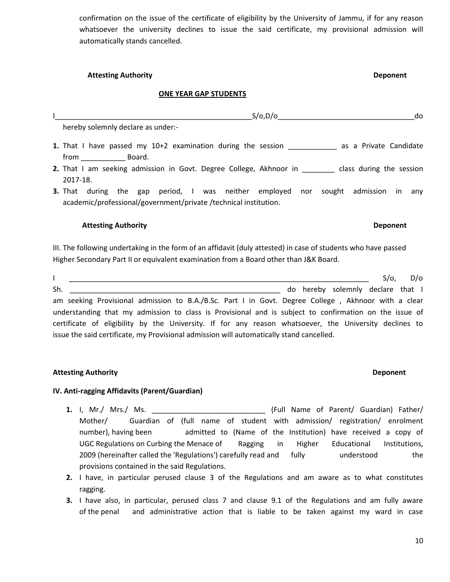confirmation on the issue of the certificate of eligibility by the University of Jammu, if for any reason whatsoever the university declines to issue the said certificate, my provisional admission will automatically stands cancelled.

| <b>Attesting Authority</b> | <b>Deponent</b> |
|----------------------------|-----------------|
|----------------------------|-----------------|

### **ONE YEAR GAP STUDENTS**

| S/O, D/O<br>do                                                                                           |
|----------------------------------------------------------------------------------------------------------|
| hereby solemnly declare as under:-                                                                       |
| 1. That I have passed my 10+2 examination during the session ____________________ as a Private Candidate |
| from<br>Board.                                                                                           |
| <b>2.</b> That I am seeking admission in Govt. Degree College, Akhnoor in class during the session       |
| 2017-18.                                                                                                 |
| <b>3.</b> That during the gap period, I was neither employed nor<br>sought admission<br>in.<br>anv       |
| academic/professional/government/private/technical institution.                                          |
|                                                                                                          |
| <b>Attesting Authority</b><br>Deponent                                                                   |

III. The following undertaking in the form of an affidavit (duly attested) in case of students who have passed Higher Secondary Part II or equivalent examination from a Board other than J&K Board.

|     |                                                                                                        |  |  |  |  |  | $S/O$ , | D/O                               |
|-----|--------------------------------------------------------------------------------------------------------|--|--|--|--|--|---------|-----------------------------------|
| Sh. |                                                                                                        |  |  |  |  |  |         | do hereby solemnly declare that I |
|     | am seeking Provisional admission to B.A./B.Sc. Part I in Govt. Degree College, Akhnoor with a clear    |  |  |  |  |  |         |                                   |
|     | understanding that my admission to class is Provisional and is subject to confirmation on the issue of |  |  |  |  |  |         |                                   |
|     | certificate of eligibility by the University. If for any reason whatsoever, the University declines to |  |  |  |  |  |         |                                   |
|     | issue the said certificate, my Provisional admission will automatically stand cancelled.               |  |  |  |  |  |         |                                   |

### **Attesting Authority Deponent**

### **IV. Anti-ragging Affidavits (Parent/Guardian)**

- **1.** I, Mr./ Mrs./ Ms. \_\_\_\_\_\_\_\_\_\_\_\_\_\_\_\_\_\_\_\_\_\_\_\_\_\_\_\_ (Full Name of Parent/ Guardian) Father/ Mother/ Guardian of (full name of student with admission/ registration/ enrolment number), having been admitted to (Name of the Institution) have received a copy of UGC Regulations on Curbing the Menace of Ragging in Higher Educational Institutions, 2009 (hereinafter called the 'Regulations') carefully read and fully understood the provisions contained in the said Regulations.
- **2.** I have, in particular perused clause 3 of the Regulations and am aware as to what constitutes ragging.
- **3.** I have also, in particular, perused class 7 and clause 9.1 of the Regulations and am fully aware of the penal and administrative action that is liable to be taken against my ward in case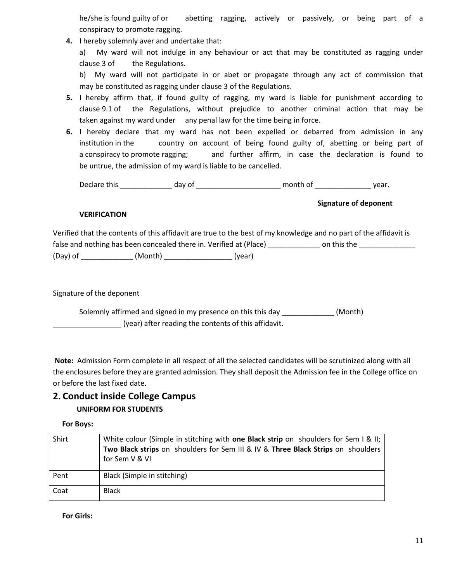he/she is found guilty of or abetting ragging, actively or passively, or being part of a conspiracy to promote ragging.

**4.** I hereby solemnly aver and undertake that:

a) My ward will not indulge in any behaviour or act that may be constituted as ragging under clause 3 of the Regulations.

b) My ward will not participate in or abet or propagate through any act of commission that may be constituted as ragging under clause 3 of the Regulations.

- **5.** I hereby affirm that, if found guilty of ragging, my ward is liable for punishment according to clause 9.1 of the Regulations, without prejudice to another criminal action that may be taken against my ward under any penal law for the time being in force.
- **6.** I hereby declare that my ward has not been expelled or debarred from admission in any institution in the country on account of being found guilty of, abetting or being part of a conspiracy to promote ragging; and further affirm, in case the declaration is found to be untrue, the admission of my ward is liable to be cancelled.

Declare this \_\_\_\_\_\_\_\_\_\_\_\_\_ day of \_\_\_\_\_\_\_\_\_\_\_\_\_\_\_\_\_\_\_\_\_ month of \_\_\_\_\_\_\_\_\_\_\_\_\_\_ year.

**Signature of deponent** 

## **VERIFICATION**

Verified that the contents of this affidavit are true to the best of my knowledge and no part of the affidavit is false and nothing has been concealed there in. Verified at (Place) \_\_\_\_\_\_\_\_\_\_\_\_\_ on this the \_\_\_\_\_\_\_\_\_\_\_\_\_\_\_\_ (Day) of \_\_\_\_\_\_\_\_\_\_\_\_\_ (Month) \_\_\_\_\_\_\_\_\_\_\_\_\_\_\_\_\_ (year)

Signature of the deponent

Solemnly affirmed and signed in my presence on this this day \_\_\_\_\_\_\_\_\_\_\_\_\_\_ (Month) \_\_\_\_\_\_\_\_\_\_\_\_\_\_\_\_\_ (year) after reading the contents of this affidavit.

**Note:** Admission Form complete in all respect of all the selected candidates will be scrutinized along with all the enclosures before they are granted admission. They shall deposit the Admission fee in the College office on or before the last fixed date.

## **2. Conduct inside College Campus UNIFORM FOR STUDENTS**

 **For Boys:** 

| Shirt | White colour (Simple in stitching with one Black strip on shoulders for Sem I & II;<br>Two Black strips on shoulders for Sem III & IV & Three Black Strips on shoulders<br>for Sem V & VI |
|-------|-------------------------------------------------------------------------------------------------------------------------------------------------------------------------------------------|
| Pent  | Black (Simple in stitching)                                                                                                                                                               |
| Coat  | <b>Black</b>                                                                                                                                                                              |

 **For Girls:**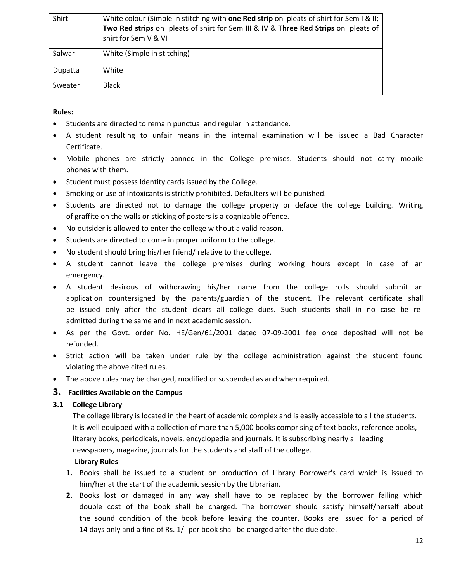| Shirt   | White colour (Simple in stitching with one Red strip on pleats of shirt for Sem I & II;<br>Two Red strips on pleats of shirt for Sem III & IV & Three Red Strips on pleats of<br>shirt for Sem V & VI |
|---------|-------------------------------------------------------------------------------------------------------------------------------------------------------------------------------------------------------|
| Salwar  | White (Simple in stitching)                                                                                                                                                                           |
| Dupatta | White                                                                                                                                                                                                 |
| Sweater | <b>Black</b>                                                                                                                                                                                          |

### **Rules:**

- Students are directed to remain punctual and regular in attendance.
- A student resulting to unfair means in the internal examination will be issued a Bad Character Certificate.
- Mobile phones are strictly banned in the College premises. Students should not carry mobile phones with them.
- Student must possess Identity cards issued by the College.
- Smoking or use of intoxicants is strictly prohibited. Defaulters will be punished.
- Students are directed not to damage the college property or deface the college building. Writing of graffite on the walls or sticking of posters is a cognizable offence.
- No outsider is allowed to enter the college without a valid reason.
- Students are directed to come in proper uniform to the college.
- No student should bring his/her friend/ relative to the college.
- A student cannot leave the college premises during working hours except in case of an emergency.
- A student desirous of withdrawing his/her name from the college rolls should submit an application countersigned by the parents/guardian of the student. The relevant certificate shall be issued only after the student clears all college dues. Such students shall in no case be readmitted during the same and in next academic session.
- As per the Govt. order No. HE/Gen/61/2001 dated 07-09-2001 fee once deposited will not be refunded.
- Strict action will be taken under rule by the college administration against the student found violating the above cited rules.
- The above rules may be changed, modified or suspended as and when required.

### **3. Facilities Available on the Campus**

### **3.1 College Library**

The college library is located in the heart of academic complex and is easily accessible to all the students. It is well equipped with a collection of more than 5,000 books comprising of text books, reference books, literary books, periodicals, novels, encyclopedia and journals. It is subscribing nearly all leading newspapers, magazine, journals for the students and staff of the college.

### **Library Rules**

- **1.** Books shall be issued to a student on production of Library Borrower's card which is issued to him/her at the start of the academic session by the Librarian.
- **2.** Books lost or damaged in any way shall have to be replaced by the borrower failing which double cost of the book shall be charged. The borrower should satisfy himself/herself about the sound condition of the book before leaving the counter. Books are issued for a period of 14 days only and a fine of Rs. 1/- per book shall be charged after the due date.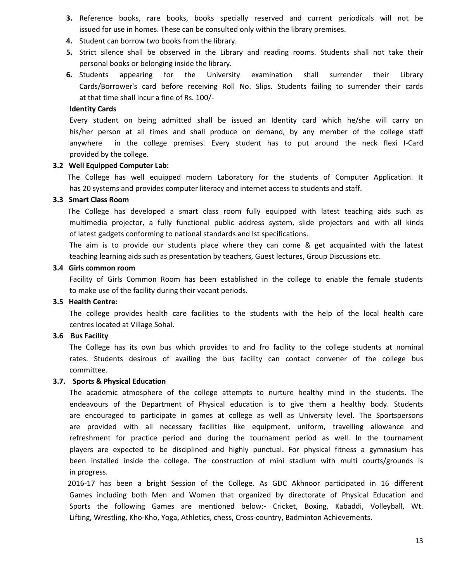- **3.** Reference books, rare books, books specially reserved and current periodicals will not be issued for use in homes. These can be consulted only within the library premises.
- **4.** Student can borrow two books from the library.
- **5.** Strict silence shall be observed in the Library and reading rooms. Students shall not take their personal books or belonging inside the library.
- **6.** Students appearing for the University examination shall surrender their Library Cards/Borrower's card before receiving Roll No. Slips. Students failing to surrender their cards at that time shall incur a fine of Rs. 100/-

#### **Identity Cards**

Every student on being admitted shall be issued an Identity card which he/she will carry on his/her person at all times and shall produce on demand, by any member of the college staff anywhere in the college premises. Every student has to put around the neck flexi I-Card provided by the college.

#### **3.2 Well Equipped Computer Lab:**

 The College has well equipped modern Laboratory for the students of Computer Application. It has 20 systems and provides computer literacy and internet access to students and staff.

#### **3.3 Smart Class Room**

 The College has developed a smart class room fully equipped with latest teaching aids such as multimedia projector, a fully functional public address system, slide projectors and with all kinds of latest gadgets conforming to national standards and Ist specifications.

The aim is to provide our students place where they can come & get acquainted with the latest teaching learning aids such as presentation by teachers, Guest lectures, Group Discussions etc.

#### **3.4 Girls common room**

Facility of Girls Common Room has been established in the college to enable the female students to make use of the facility during their vacant periods.

### **3.5 Health Centre:**

The college provides health care facilities to the students with the help of the local health care centres located at Village Sohal.

#### **3.6 Bus Facility**

The College has its own bus which provides to and fro facility to the college students at nominal rates. Students desirous of availing the bus facility can contact convener of the college bus committee.

#### **3.7. Sports & Physical Education**

 The academic atmosphere of the college attempts to nurture healthy mind in the students. The endeavours of the Department of Physical education is to give them a healthy body. Students are encouraged to participate in games at college as well as University level. The Sportspersons are provided with all necessary facilities like equipment, uniform, travelling allowance and refreshment for practice period and during the tournament period as well. In the tournament players are expected to be disciplined and highly punctual. For physical fitness a gymnasium has been installed inside the college. The construction of mini stadium with multi courts/grounds is in progress.

 2016-17 has been a bright Session of the College. As GDC Akhnoor participated in 16 different Games including both Men and Women that organized by directorate of Physical Education and Sports the following Games are mentioned below:- Cricket, Boxing, Kabaddi, Volleyball, Wt. Lifting, Wrestling, Kho-Kho, Yoga, Athletics, chess, Cross-country, Badminton Achievements.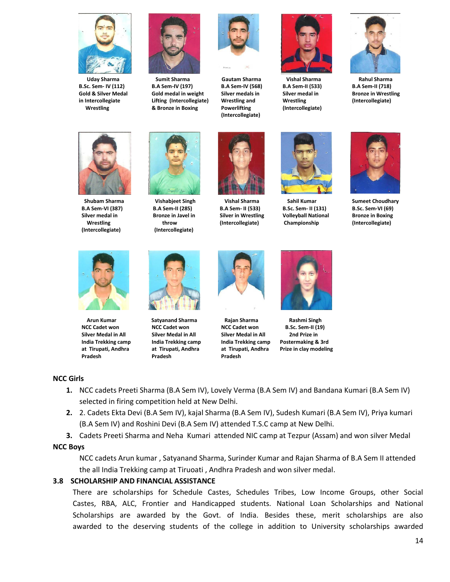

 **Uday Sharma B.Sc. Sem- IV (112) Gold & Silver Medal in Intercollegiate Wrestling** 



 **Sumit Sharma B.A Sem-IV (197) Gold medal in weight Lifting (Intercollegiate) & Bronze in Boxing** 



**Gautam Sharma B.A Sem-IV (568) Silver medals in Wrestling and Powerlifting (Intercollegiate)** 



 **Vishal Sharma B.A Sem- II (533) Silver in Wrestling (Intercollegiate)**



 **Vishal Sharma B.A Sem-II (533) Silver medal in Wrestling (Intercollegiate)**



 **Rahul Sharma B.A Sem-II (718) Bronze in Wrestling (Intercollegiate)** 



 **Sumeet Choudhary B.Sc. Sem-VI (69) Bronze in Boxing (Intercollegiate)** 



 **Shubam Sharma B.A Sem-VI (387) Silver medal in Wrestling (Intercollegiate)**

 **Arun Kumar NCC Cadet won Silver Medal in All India Trekking camp at Tirupati, Andhra Pradesh** 



 **Vishabjeet Singh B.A Sem-II (285) Bronze in Javel in throw (Intercollegiate)** 

 **Satyanand Sharma NCC Cadet won Silver Medal in All India Trekking camp at Tirupati, Andhra Pradesh** 



 **Rajan Sharma NCC Cadet won Silver Medal in All India Trekking camp at Tirupati, Andhra Pradesh** 



 **Sahil Kumar B.Sc. Sem- II (131) Volleyball National Championship**

 **Rashmi Singh B.Sc. Sem-II (19) 2nd Prize in Postermaking & 3rd Prize in clay modeling** 

### **NCC Girls**

- **1.** NCC cadets Preeti Sharma (B.A Sem IV), Lovely Verma (B.A Sem IV) and Bandana Kumari (B.A Sem IV) selected in firing competition held at New Delhi.
- **2.** 2. Cadets Ekta Devi (B.A Sem IV), kajal Sharma (B.A Sem IV), Sudesh Kumari (B.A Sem IV), Priya kumari (B.A Sem IV) and Roshini Devi (B.A Sem IV) attended T.S.C camp at New Delhi.
- **3.** Cadets Preeti Sharma and Neha Kumari attended NIC camp at Tezpur (Assam) and won silver Medal

#### **NCC Boys**

NCC cadets Arun kumar , Satyanand Sharma, Surinder Kumar and Rajan Sharma of B.A Sem II attended the all India Trekking camp at Tiruoati , Andhra Pradesh and won silver medal.

### **3.8 SCHOLARSHIP AND FINANCIAL ASSISTANCE**

There are scholarships for Schedule Castes, Schedules Tribes, Low Income Groups, other Social Castes, RBA, ALC, Frontier and Handicapped students. National Loan Scholarships and National Scholarships are awarded by the Govt. of India. Besides these, merit scholarships are also awarded to the deserving students of the college in addition to University scholarships awarded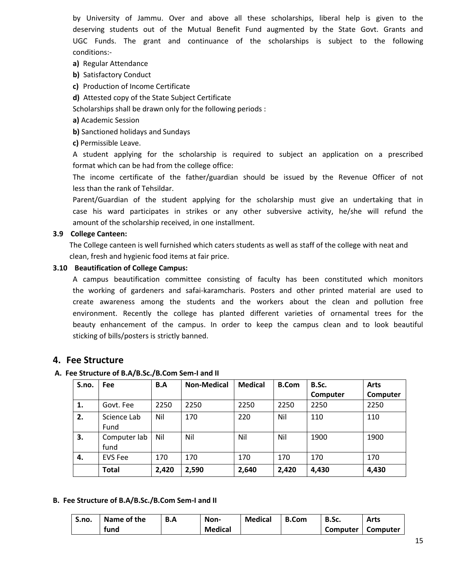by University of Jammu. Over and above all these scholarships, liberal help is given to the deserving students out of the Mutual Benefit Fund augmented by the State Govt. Grants and UGC Funds. The grant and continuance of the scholarships is subject to the following conditions:-

- **a)** Regular Attendance
- **b)** Satisfactory Conduct
- **c)** Production of Income Certificate
- **d)** Attested copy of the State Subject Certificate

Scholarships shall be drawn only for the following periods :

- **a)** Academic Session
- **b)** Sanctioned holidays and Sundays
- **c)** Permissible Leave.

A student applying for the scholarship is required to subject an application on a prescribed format which can be had from the college office:

The income certificate of the father/guardian should be issued by the Revenue Officer of not less than the rank of Tehsildar.

Parent/Guardian of the student applying for the scholarship must give an undertaking that in case his ward participates in strikes or any other subversive activity, he/she will refund the amount of the scholarship received, in one installment.

### **3.9 College Canteen:**

The College canteen is well furnished which caters students as well as staff of the college with neat and clean, fresh and hygienic food items at fair price.

### **3.10 Beautification of College Campus:**

A campus beautification committee consisting of faculty has been constituted which monitors the working of gardeners and safai-karamcharis. Posters and other printed material are used to create awareness among the students and the workers about the clean and pollution free environment. Recently the college has planted different varieties of ornamental trees for the beauty enhancement of the campus. In order to keep the campus clean and to look beautiful sticking of bills/posters is strictly banned.

## **4. Fee Structure**

### **A. Fee Structure of B.A/B.Sc./B.Com Sem-I and II**

| S.no. | <b>Fee</b>           | B.A   | <b>Non-Medical</b> | <b>Medical</b> | <b>B.Com</b> | B.Sc.    | <b>Arts</b> |
|-------|----------------------|-------|--------------------|----------------|--------------|----------|-------------|
|       |                      |       |                    |                |              | Computer | Computer    |
| 1.    | Govt. Fee            | 2250  | 2250               | 2250           | 2250         | 2250     | 2250        |
| 2.    | Science Lab<br>Fund  | Nil   | 170                | 220            | Nil          | 110      | 110         |
| 3.    | Computer lab<br>fund | Nil   | Nil                | Nil            | Nil          | 1900     | 1900        |
| 4.    | <b>EVS Fee</b>       | 170   | 170                | 170            | 170          | 170      | 170         |
|       | <b>Total</b>         | 2,420 | 2,590              | 2,640          | 2,420        | 4,430    | 4,430       |

### **B. Fee Structure of B.A/B.Sc./B.Com Sem-I and II**

| S.no. | Name of the | B.A | Non-           | <b>Medical</b> | <b>B.Com</b> | B.Sc.    | Arts     |
|-------|-------------|-----|----------------|----------------|--------------|----------|----------|
|       | fund        |     | <b>Medical</b> |                |              | Computer | Computer |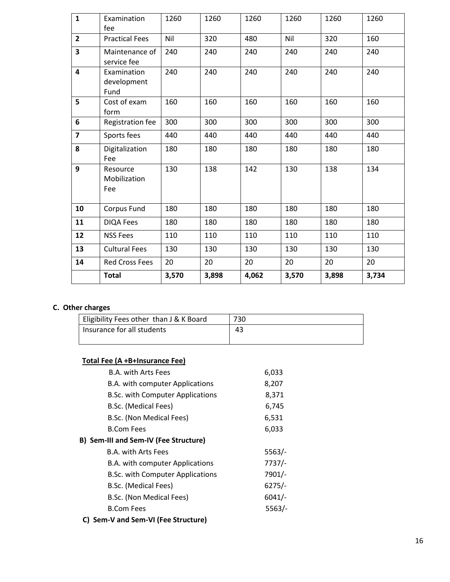| $\mathbf{1}$            | Examination<br>fee                 | 1260  | 1260  | 1260  | 1260  | 1260  | 1260  |
|-------------------------|------------------------------------|-------|-------|-------|-------|-------|-------|
| $\overline{2}$          | <b>Practical Fees</b>              | Nil   | 320   | 480   | Nil   | 320   | 160   |
| 3                       | Maintenance of<br>service fee      | 240   | 240   | 240   | 240   | 240   | 240   |
| $\overline{\mathbf{4}}$ | Examination<br>development<br>Fund | 240   | 240   | 240   | 240   | 240   | 240   |
| 5                       | Cost of exam<br>form               | 160   | 160   | 160   | 160   | 160   | 160   |
| 6                       | Registration fee                   | 300   | 300   | 300   | 300   | 300   | 300   |
| $\overline{7}$          | Sports fees                        | 440   | 440   | 440   | 440   | 440   | 440   |
| 8                       | Digitalization<br>Fee              | 180   | 180   | 180   | 180   | 180   | 180   |
| 9                       | Resource<br>Mobilization<br>Fee    | 130   | 138   | 142   | 130   | 138   | 134   |
| 10                      | Corpus Fund                        | 180   | 180   | 180   | 180   | 180   | 180   |
| 11                      | <b>DIQA Fees</b>                   | 180   | 180   | 180   | 180   | 180   | 180   |
| 12                      | <b>NSS Fees</b>                    | 110   | 110   | 110   | 110   | 110   | 110   |
| 13                      | <b>Cultural Fees</b>               | 130   | 130   | 130   | 130   | 130   | 130   |
| 14                      | <b>Red Cross Fees</b>              | 20    | 20    | 20    | 20    | 20    | 20    |
|                         | <b>Total</b>                       | 3,570 | 3,898 | 4,062 | 3,570 | 3,898 | 3,734 |

## **C. Other charges**

| Eligibility Fees other than J & K Board | 730. |
|-----------------------------------------|------|
| Insurance for all students              | 43   |

## **Total Fee (A +B+Insurance Fee)**

| <b>B.A. with Arts Fees</b>            | 6,033    |
|---------------------------------------|----------|
| B.A. with computer Applications       | 8,207    |
| B.Sc. with Computer Applications      | 8,371    |
| B.Sc. (Medical Fees)                  | 6,745    |
| B.Sc. (Non Medical Fees)              | 6,531    |
| <b>B.Com Fees</b>                     | 6,033    |
| B) Sem-III and Sem-IV (Fee Structure) |          |
| <b>B.A. with Arts Fees</b>            | 5563/    |
| B.A. with computer Applications       | $7737/-$ |
| B.Sc. with Computer Applications      | 7901/-   |
| B.Sc. (Medical Fees)                  | $6275/-$ |
| B.Sc. (Non Medical Fees)              | $6041/-$ |
| <b>B.Com Fees</b>                     | 5563/    |
| C) Sem-V and Sem-VI (Fee Structure)   |          |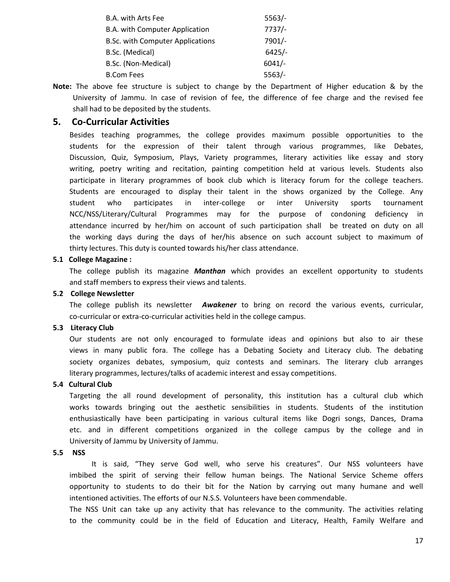| $5563/-$  |
|-----------|
| $7737/-$  |
| $7901/-$  |
| $6425/-$  |
| $6041/-$  |
| $5563/$ - |
|           |

**Note:** The above fee structure is subject to change by the Department of Higher education & by the University of Jammu. In case of revision of fee, the difference of fee charge and the revised fee shall had to be deposited by the students.

## **5. Co-Curricular Activities**

Besides teaching programmes, the college provides maximum possible opportunities to the students for the expression of their talent through various programmes, like Debates, Discussion, Quiz, Symposium, Plays, Variety programmes, literary activities like essay and story writing, poetry writing and recitation, painting competition held at various levels. Students also participate in literary programmes of book club which is literacy forum for the college teachers. Students are encouraged to display their talent in the shows organized by the College. Any student who participates in inter-college or inter University sports tournament NCC/NSS/Literary/Cultural Programmes may for the purpose of condoning deficiency in attendance incurred by her/him on account of such participation shall be treated on duty on all the working days during the days of her/his absence on such account subject to maximum of thirty lectures. This duty is counted towards his/her class attendance.

#### **5.1 College Magazine :**

The college publish its magazine *Manthan* which provides an excellent opportunity to students and staff members to express their views and talents.

#### **5.2 College Newsletter**

The college publish its newsletter *Awakener* to bring on record the various events, curricular, co-curricular or extra-co-curricular activities held in the college campus.

#### **5.3 Literacy Club**

Our students are not only encouraged to formulate ideas and opinions but also to air these views in many public fora. The college has a Debating Society and Literacy club. The debating society organizes debates, symposium, quiz contests and seminars. The literary club arranges literary programmes, lectures/talks of academic interest and essay competitions.

#### **5.4 Cultural Club**

Targeting the all round development of personality, this institution has a cultural club which works towards bringing out the aesthetic sensibilities in students. Students of the institution enthusiastically have been participating in various cultural items like Dogri songs, Dances, Drama etc. and in different competitions organized in the college campus by the college and in University of Jammu by University of Jammu.

### **5.5 NSS**

It is said, "They serve God well, who serve his creatures". Our NSS volunteers have imbibed the spirit of serving their fellow human beings. The National Service Scheme offers opportunity to students to do their bit for the Nation by carrying out many humane and well intentioned activities. The efforts of our N.S.S. Volunteers have been commendable.

The NSS Unit can take up any activity that has relevance to the community. The activities relating to the community could be in the field of Education and Literacy, Health, Family Welfare and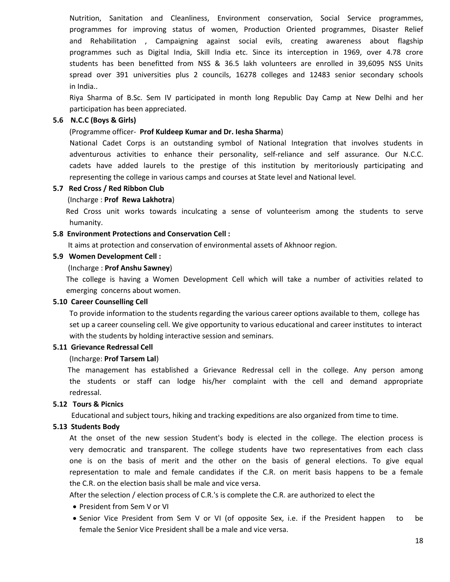Nutrition, Sanitation and Cleanliness, Environment conservation, Social Service programmes, programmes for improving status of women, Production Oriented programmes, Disaster Relief and Rehabilitation , Campaigning against social evils, creating awareness about flagship programmes such as Digital India, Skill India etc. Since its interception in 1969, over 4.78 crore students has been benefitted from NSS & 36.5 lakh volunteers are enrolled in 39,6095 NSS Units spread over 391 universities plus 2 councils, 16278 colleges and 12483 senior secondary schools in India..

Riya Sharma of B.Sc. Sem IV participated in month long Republic Day Camp at New Delhi and her participation has been appreciated.

#### **5.6 N.C.C (Boys & Girls)**

#### (Programme officer- **Prof Kuldeep Kumar and Dr. Iesha Sharma**)

 National Cadet Corps is an outstanding symbol of National Integration that involves students in adventurous activities to enhance their personality, self-reliance and self assurance. Our N.C.C. cadets have added laurels to the prestige of this institution by meritoriously participating and representing the college in various camps and courses at State level and National level.

#### **5.7 Red Cross / Red Ribbon Club**

#### (Incharge : **Prof Rewa Lakhotra**)

 Red Cross unit works towards inculcating a sense of volunteerism among the students to serve humanity.

#### **5.8 Environment Protections and Conservation Cell :**

It aims at protection and conservation of environmental assets of Akhnoor region.

#### **5.9 Women Development Cell :**

#### (Incharge : **Prof Anshu Sawney**)

The college is having a Women Development Cell which will take a number of activities related to emerging concerns about women.

#### **5.10 Career Counselling Cell**

To provide information to the students regarding the various career options available to them, college has set up a career counseling cell. We give opportunity to various educational and career institutes to interact with the students by holding interactive session and seminars.

#### **5.11 Grievance Redressal Cell**

#### (Incharge: **Prof Tarsem Lal**)

 The management has established a Grievance Redressal cell in the college. Any person among the students or staff can lodge his/her complaint with the cell and demand appropriate redressal.

### **5.12 Tours & Picnics**

Educational and subject tours, hiking and tracking expeditions are also organized from time to time.

#### **5.13 Students Body**

At the onset of the new session Student's body is elected in the college. The election process is very democratic and transparent. The college students have two representatives from each class one is on the basis of merit and the other on the basis of general elections. To give equal representation to male and female candidates if the C.R. on merit basis happens to be a female the C.R. on the election basis shall be male and vice versa.

After the selection / election process of C.R.'s is complete the C.R. are authorized to elect the

- President from Sem V or VI
- Senior Vice President from Sem V or VI (of opposite Sex, i.e. if the President happen to be female the Senior Vice President shall be a male and vice versa.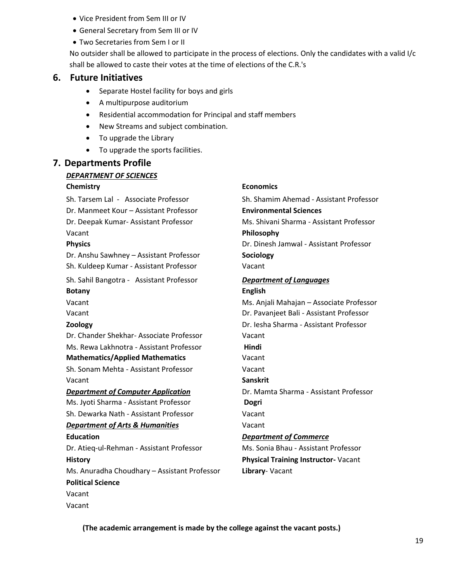- Vice President from Sem III or IV
- General Secretary from Sem III or IV
- Two Secretaries from Sem I or II

No outsider shall be allowed to participate in the process of elections. Only the candidates with a valid I/c shall be allowed to caste their votes at the time of elections of the C.R.'s

## **6. Future Initiatives**

- Separate Hostel facility for boys and girls
- A multipurpose auditorium
- Residential accommodation for Principal and staff members
- New Streams and subject combination.
- To upgrade the Library
- To upgrade the sports facilities.

## **7. Departments Profile**

### *DEPARTMENT OF SCIENCES*

Dr. Manmeet Kour – Assistant Professor **Environmental Sciences** Vacant **Philosophy**

Dr. Anshu Sawhney – Assistant Professor **Sociology** Sh. Kuldeep Kumar - Assistant Professor Vacant

Sh. Sahil Bangotra - Assistant Professor *Department of Languages*  **Botany English**

Dr. Chander Shekhar- Associate Professor Vacant Ms. Rewa Lakhnotra - Assistant Professor **Hindi Mathematics/Applied Mathematics** Vacant

Sh. Sonam Mehta - Assistant Professor Vacant Vacant **Sanskrit** 

Ms. Jyoti Sharma - Assistant Professor **Dogri**  Sh. Dewarka Nath - Assistant Professor Vacant

## *Department of Arts & Humanities* Vacant

Dr. Atieq-ul-Rehman - Assistant Professor Ms. Sonia Bhau - Assistant Professor

# Ms. Anuradha Choudhary – Assistant Professor **Library**- Vacant

**Political Science** Vacant

Vacant

## **Chemistry Economics**

Sh. Tarsem Lal - Associate Professor Sh. Shamim Ahemad - Assistant Professor Dr. Deepak Kumar- Assistant Professor Ms. Shivani Sharma - Assistant Professor **Physics** Dr. Dinesh Jamwal - Assistant Professor Vacant Ms. Anjali Mahajan – Associate Professor

Vacant Dr. Pavanjeet Bali - Assistant Professor **Zoology** Dr. Iesha Sharma - Assistant Professor

*Department of Computer Application* Dr. Mamta Sharma - Assistant Professor

### **Education** *Department of Commerce*

**History Physical Training Instructor-** Vacant

**(The academic arrangement is made by the college against the vacant posts.)**